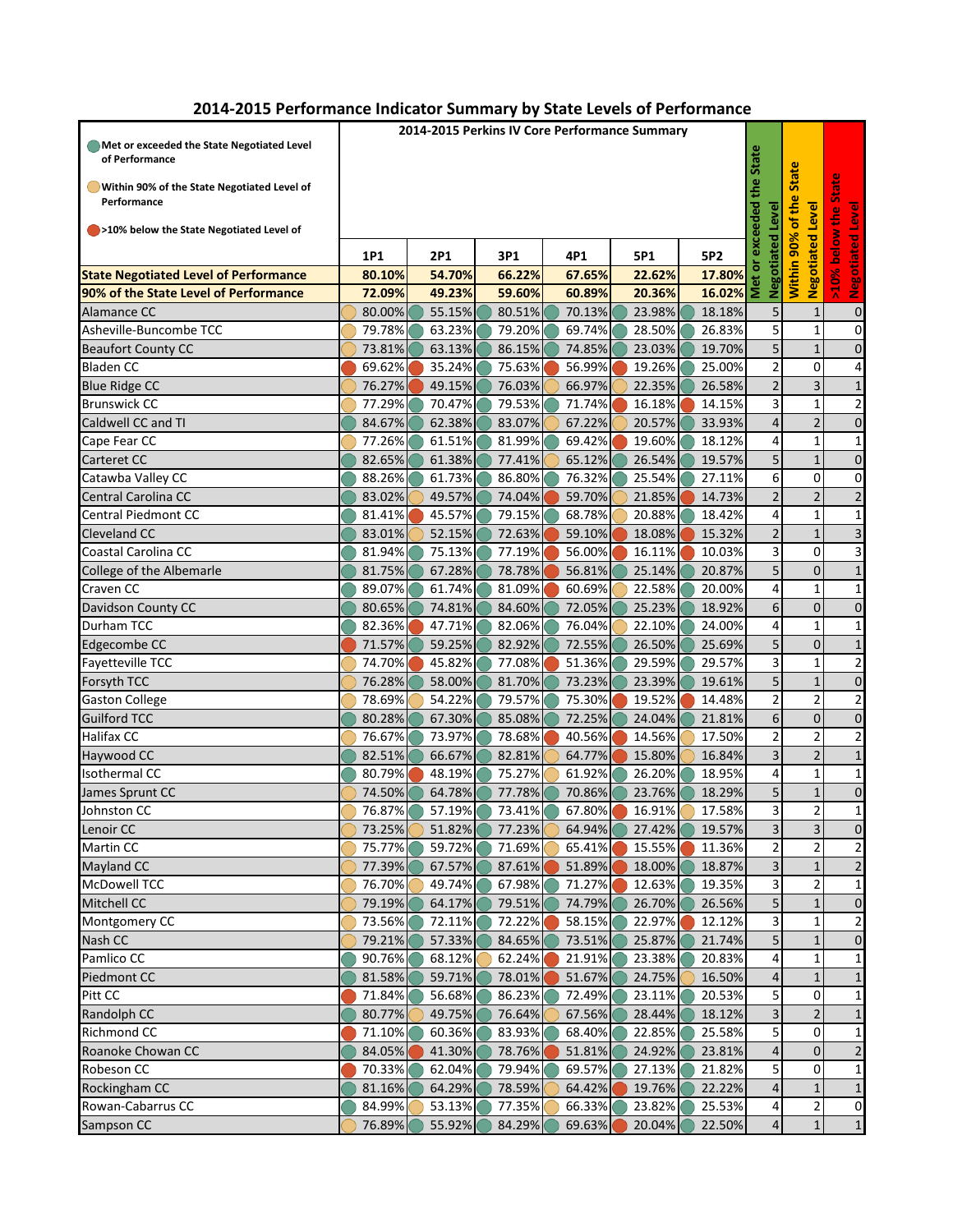| 2014-2015 Performance Indicator Summary by State Levels of Performance |  |  |  |  |  |
|------------------------------------------------------------------------|--|--|--|--|--|
|------------------------------------------------------------------------|--|--|--|--|--|

|                                                            | 2014-2015 Perkins IV Core Performance Summary |               |                        |                   |                              |               |                         |                         |                         |  |  |  |
|------------------------------------------------------------|-----------------------------------------------|---------------|------------------------|-------------------|------------------------------|---------------|-------------------------|-------------------------|-------------------------|--|--|--|
| Met or exceeded the State Negotiated Level                 |                                               |               |                        |                   |                              |               |                         |                         |                         |  |  |  |
| of Performance                                             |                                               |               |                        |                   |                              |               | State                   | <b>State</b>            | ate                     |  |  |  |
| Within 90% of the State Negotiated Level of<br>Performance | the<br>the                                    |               |                        |                   |                              |               |                         |                         |                         |  |  |  |
| >10% below the State Negotiated Level of                   |                                               |               |                        |                   |                              |               | Level                   | Level                   | å                       |  |  |  |
|                                                            |                                               |               | exceeded<br>Negotiated | 90%<br>Negotiated | <b>Negotiated Level</b><br>š |               |                         |                         |                         |  |  |  |
| <b>State Negotiated Level of Performance</b>               | 1P1<br>80.10%                                 | 2P1<br>54.70% | 3P1<br>66.22%          | 4P1<br>67.65%     | 5P1<br>22.62%                | 5P2<br>17.80% | Met or                  | Within                  |                         |  |  |  |
| 90% of the State Level of Performance                      | 72.09%                                        | 49.23%        | 59.60%                 | 60.89%            | 20.36%                       | 16.02%        |                         |                         | 10%                     |  |  |  |
| Alamance CC                                                | 80.00%                                        | 55.15%        | 80.51%                 | 70.13%            | 23.98%                       | 18.18%        | 5                       | 1                       | $\mathbf 0$             |  |  |  |
| Asheville-Buncombe TCC                                     | 79.78%                                        | 63.23%        | 79.20%                 | 69.74%            | 28.50%                       | 26.83%        | 5                       | $\mathbf{1}$            | $\mathbf 0$             |  |  |  |
| <b>Beaufort County CC</b>                                  | 73.81%                                        | 63.13%        | 86.15%                 | 74.85%            | 23.03%                       | 19.70%        | 5                       | $\mathbf{1}$            | $\mathbf 0$             |  |  |  |
| <b>Bladen CC</b>                                           | 69.62%                                        | 35.24%        | 75.63%                 | 56.99%            | 19.26%                       | 25.00%        | $\mathbf 2$             | $\mathbf 0$             | 4                       |  |  |  |
| <b>Blue Ridge CC</b>                                       | 76.27%                                        | 49.15%        | 76.03%                 | 66.97%            | 22.35%                       | 26.58%        | $\overline{2}$          | $\overline{\mathbf{3}}$ | $\mathbf 1$             |  |  |  |
| <b>Brunswick CC</b>                                        | 77.29%                                        | 70.47%        | 79.53%                 | 71.74%            | 16.18%                       | 14.15%        | 3                       | 1                       | 2                       |  |  |  |
| Caldwell CC and TI                                         | 84.67%                                        | 62.38%        | 83.07%                 | 67.22%            | 20.57%                       | 33.93%        | $\overline{4}$          | $\overline{2}$          | $\mathbf 0$             |  |  |  |
| Cape Fear CC                                               | 77.26%                                        | 61.51%        | 81.99%                 | 69.42%            | 19.60%                       | 18.12%        | 4                       | $\mathbf{1}$            | $\mathbf{1}$            |  |  |  |
| Carteret CC                                                | 82.65%                                        | 61.38%        | 77.41%                 | 65.12%            | 26.54%                       | 19.57%        | 5                       | $\mathbf{1}$            | $\mathbf 0$             |  |  |  |
| Catawba Valley CC                                          | 88.26%                                        | 61.73%        | 86.80%                 | 76.32%            | 25.54%                       | 27.11%        | 6                       | $\mathbf 0$             | $\mathbf 0$             |  |  |  |
| Central Carolina CC                                        | 83.02%                                        | 49.57%        | 74.04%                 | 59.70%            | 21.85%                       | 14.73%        | $\overline{2}$          | $\overline{2}$          | $\overline{\mathbf{c}}$ |  |  |  |
| <b>Central Piedmont CC</b>                                 | 81.41%                                        | 45.57%        | 79.15%                 | 68.78%            | 20.88%                       | 18.42%        | 4                       | $\overline{1}$          | $\mathbf 1$             |  |  |  |
| <b>Cleveland CC</b>                                        | 83.01%                                        | 52.15%        | 72.63%                 | 59.10%            | 18.08%                       | 15.32%        | $\overline{2}$          | $\mathbf{1}$            | 3                       |  |  |  |
| Coastal Carolina CC                                        | 81.94%                                        | 75.13%        | 77.19%                 | 56.00%            | 16.11%                       | 10.03%        | 3                       | $\mathbf 0$             | 3                       |  |  |  |
| College of the Albemarle                                   | 81.75%                                        | 67.28%        | 78.78%                 | 56.81%            | 25.14%                       | 20.87%        | $\overline{5}$          | 0                       | $\mathbf 1$             |  |  |  |
| Craven CC                                                  | 89.07%                                        | 61.74%        | 81.09%                 | 60.69%            | 22.58%                       | 20.00%        | 4                       | $\mathbf{1}$            | $\mathbf{1}$            |  |  |  |
| Davidson County CC                                         | 80.65%                                        | 74.81%        | 84.60%                 | 72.05%            | 25.23%                       | 18.92%        | 6                       | $\mathbf 0$             | $\mathbf 0$             |  |  |  |
| Durham TCC                                                 | 82.36%                                        | 47.71%        | 82.06%                 | 76.04%            | 22.10%                       | 24.00%        | 4                       | $\mathbf{1}$            | 1                       |  |  |  |
| Edgecombe CC                                               | 71.57%                                        | 59.25%        | 82.92%                 | 72.55%            | 26.50%                       | 25.69%        | 5                       | $\mathbf 0$             | $\mathbf{1}$            |  |  |  |
| Fayetteville TCC                                           | 74.70%                                        | 45.82%        | 77.08%                 | 51.36%            | 29.59%                       | 29.57%        | 3                       | $\mathbf{1}$            | 2                       |  |  |  |
| Forsyth TCC                                                | 76.28%                                        | 58.00%        | 81.70%                 | 73.23%            | 23.39%                       | 19.61%        | $\overline{5}$          | $\mathbf{1}$            | $\mathbf 0$             |  |  |  |
| <b>Gaston College</b>                                      | 78.69%                                        | 54.22%        | 79.57%                 | 75.30%            | 19.52%                       | 14.48%        | $\mathbf 2$             | $\overline{\mathbf{c}}$ | 2                       |  |  |  |
| <b>Guilford TCC</b>                                        | 80.28%                                        | 67.30%        | 85.08%                 | 72.25%            | 24.04%                       | 21.81%        | $6\phantom{a}$          | $\pmb{0}$               | $\pmb{0}$               |  |  |  |
| Halifax CC                                                 | 76.67%                                        | 73.97%        | 78.68%                 | 40.56%            | 14.56%                       | 17.50%        | $\overline{\mathbf{c}}$ | $\overline{\mathbf{c}}$ | $\overline{\mathbf{c}}$ |  |  |  |
| Haywood CC                                                 | 82.51%                                        | 66.67%        | 82.81%                 | 64.77%            | 15.80%                       | 16.84%        | $\mathbf{3}$            | $\overline{2}$          | $\mathbf 1$             |  |  |  |
| Isothermal CC                                              | 80.79%                                        | 48.19%        | 75.27%                 | 61.92%            | 26.20%                       | 18.95%        | 4                       | 1                       | 1                       |  |  |  |
| James Sprunt CC                                            | 74.50%                                        | 64.78%        | 77.78%                 | 70.86%            | 23.76%                       | 18.29%        | 5 <sup>1</sup>          | $\mathbf{1}$            | $\pmb{0}$               |  |  |  |
| Johnston CC                                                | 76.87%                                        | 57.19%        | 73.41%                 | 67.80%            | 16.91%                       | 17.58%        | $\overline{3}$          | $\overline{2}$          | $\mathbf{1}$            |  |  |  |
| Lenoir CC                                                  | 73.25%                                        | 51.82%        | 77.23%                 | 64.94%            | 27.42%                       | 19.57%        | $\overline{3}$          | $\overline{3}$          | $\mathbf 0$             |  |  |  |
| <b>Martin CC</b>                                           | 75.77%                                        | 59.72%        | 71.69%                 | 65.41%            | 15.55%                       | 11.36%        | $\overline{2}$          | 2                       | 2                       |  |  |  |
| Mayland CC                                                 | 77.39%                                        | 67.57%        | 87.61%                 | 51.89%            | 18.00%                       | 18.87%        | $\overline{\mathbf{3}}$ | $\mathbf{1}$            | $\overline{2}$          |  |  |  |
| <b>McDowell TCC</b>                                        | 76.70%                                        | 49.74%        | 67.98%                 | 71.27%            | 12.63%                       | 19.35%        | 3                       | 2                       | 1                       |  |  |  |
| Mitchell CC                                                | 79.19%                                        | 64.17%        | 79.51%                 | 74.79%            | 26.70%                       | 26.56%        | 5 <sup>1</sup>          | $\mathbf{1}$            | $\mathbf 0$             |  |  |  |
| Montgomery CC                                              | 73.56%                                        | 72.11%        | 72.22%                 | 58.15%            | 22.97%                       | 12.12%        | $\overline{\mathbf{3}}$ | 1                       | 2                       |  |  |  |
| Nash CC                                                    | 79.21%                                        | 57.33%        | 84.65%                 | 73.51%            | 25.87%                       | 21.74%        | $\overline{5}$          | $\mathbf{1}$            | $\mathbf 0$             |  |  |  |
| Pamlico CC                                                 | 90.76%                                        | 68.12%        | 62.24%                 | 21.91%            | 23.38%                       | 20.83%        | 4                       | 1                       | 1                       |  |  |  |
| Piedmont CC                                                | 81.58%                                        | 59.71%        | 78.01%                 | 51.67%            | 24.75%                       | 16.50%        | $\overline{4}$          | $\mathbf{1}$            | 1                       |  |  |  |
| Pitt CC                                                    | 71.84%                                        | 56.68%        | 86.23%                 | 72.49%            | 23.11%                       | 20.53%        | 5                       | $\mathbf 0$             | 1                       |  |  |  |
| Randolph CC                                                | 80.77%                                        | 49.75%        | 76.64%                 | 67.56%            | 28.44%                       | 18.12%        | $\overline{\mathbf{3}}$ | $\overline{2}$          | 1                       |  |  |  |
| Richmond CC                                                | 71.10%                                        | 60.36%        | 83.93%                 | 68.40%            | 22.85%                       | 25.58%        | 5                       | $\mathbf 0$             | 1                       |  |  |  |
| Roanoke Chowan CC                                          | 84.05%                                        | 41.30%        | 78.76%                 | 51.81%            | 24.92%                       | 23.81%        | $\overline{\mathbf{4}}$ | 0                       | $\overline{\mathbf{c}}$ |  |  |  |
| Robeson CC                                                 | 70.33%                                        | 62.04%        | 79.94%                 | 69.57%            | 27.13%                       | 21.82%        | 5 <sup>1</sup>          | $\mathbf 0$             | 1                       |  |  |  |
| Rockingham CC                                              | 81.16%                                        | 64.29%        | 78.59%                 | 64.42%            | 19.76%                       | 22.22%        | $\overline{4}$          | 1                       | $\mathbf{1}$            |  |  |  |
| Rowan-Cabarrus CC                                          | 84.99%                                        | 53.13%        | 77.35%                 | 66.33%            | 23.82%                       | 25.53%        | $\overline{a}$          | $\overline{2}$          | 0                       |  |  |  |
| Sampson CC                                                 | 76.89%                                        | 55.92%        | 84.29%                 | 69.63%            | 20.04%                       | 22.50%        | $\overline{4}$          | $\mathbf 1$             | $\mathbf{1}$            |  |  |  |
|                                                            |                                               |               |                        |                   |                              |               |                         |                         |                         |  |  |  |